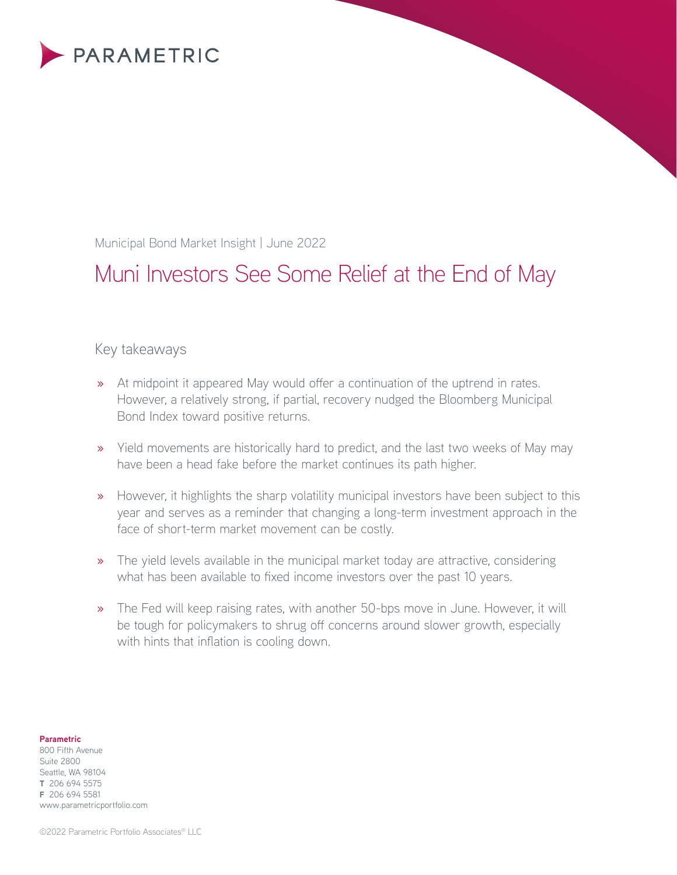

Municipal Bond Market Insight | June 2022

# Muni Investors See Some Relief at the End of May

# Key takeaways

- » At midpoint it appeared May would offer a continuation of the uptrend in rates. However, a relatively strong, if partial, recovery nudged the Bloomberg Municipal Bond Index toward positive returns.
- » Yield movements are historically hard to predict, and the last two weeks of May may have been a head fake before the market continues its path higher.
- » However, it highlights the sharp volatility municipal investors have been subject to this year and serves as a reminder that changing a long-term investment approach in the face of short-term market movement can be costly.
- » The yield levels available in the municipal market today are attractive, considering what has been available to fixed income investors over the past 10 years.
- » The Fed will keep raising rates, with another 50-bps move in June. However, it will be tough for policymakers to shrug off concerns around slower growth, especially with hints that inflation is cooling down.

#### **Parametric**

800 Fifth Avenue Suite 2800 Seattle, WA 98104 **T** 206 694 5575 **F** 206 694 5581 www.parametricportfolio.com

©2022 Parametric Portfolio Associates® LLC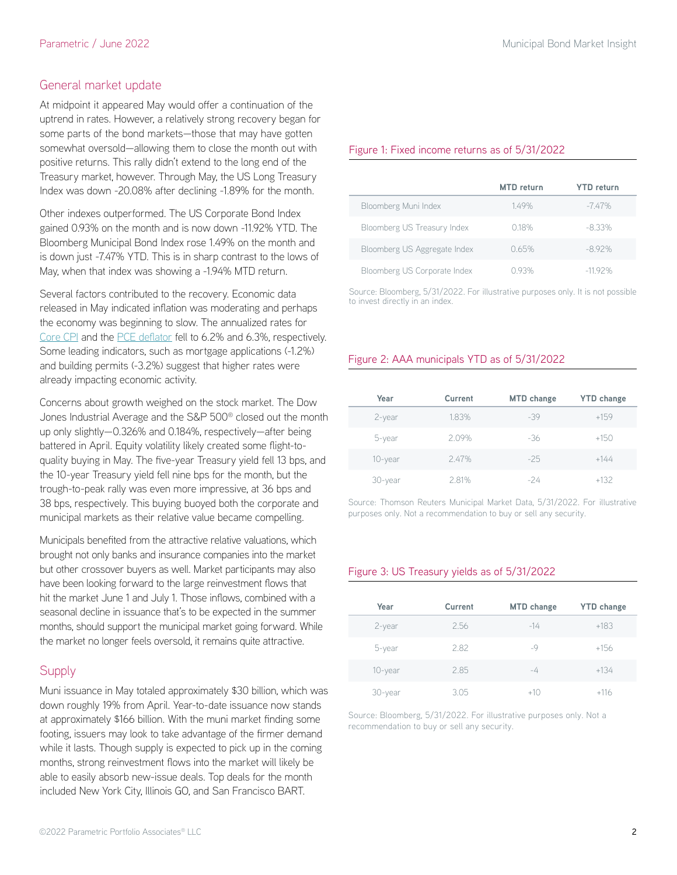## General market update

At midpoint it appeared May would offer a continuation of the uptrend in rates. However, a relatively strong recovery began for some parts of the bond markets—those that may have gotten somewhat oversold—allowing them to close the month out with positive returns. This rally didn't extend to the long end of the Treasury market, however. Through May, the US Long Treasury Index was down -20.08% after declining -1.89% for the month.

Other indexes outperformed. The US Corporate Bond Index gained 0.93% on the month and is now down -11.92% YTD. The Bloomberg Municipal Bond Index rose 1.49% on the month and is down just -7.47% YTD. This is in sharp contrast to the lows of May, when that index was showing a -1.94% MTD return.

Several factors contributed to the recovery. Economic data released in May indicated inflation was moderating and perhaps the economy was beginning to slow. The annualized rates for [Core](https://fred.stlouisfed.org/series/CPILFESL) CPI and the PCE [deflator](https://fred.stlouisfed.org/series/DPCERD3Q086SBEA) fell to 6.2% and 6.3%, respectively. Some leading indicators, such as mortgage applications (-1.2%) and building permits (-3.2%) suggest that higher rates were already impacting economic activity.

Concerns about growth weighed on the stock market. The Dow Jones Industrial Average and the S&P 500® closed out the month up only slightly—0.326% and 0.184%, respectively—after being battered in April. Equity volatility likely created some flight-toquality buying in May. The five-year Treasury yield fell 13 bps, and the 10-year Treasury yield fell nine bps for the month, but the trough-to-peak rally was even more impressive, at 36 bps and 38 bps, respectively. This buying buoyed both the corporate and municipal markets as their relative value became compelling.

Municipals benefited from the attractive relative valuations, which brought not only banks and insurance companies into the market but other crossover buyers as well. Market participants may also have been looking forward to the large reinvestment flows that hit the market June 1 and July 1. Those inflows, combined with a seasonal decline in issuance that's to be expected in the summer months, should support the municipal market going forward. While the market no longer feels oversold, it remains quite attractive.

## **Supply**

Muni issuance in May totaled approximately \$30 billion, which was down roughly 19% from April. Year-to-date issuance now stands at approximately \$166 billion. With the muni market finding some footing, issuers may look to take advantage of the firmer demand while it lasts. Though supply is expected to pick up in the coming months, strong reinvestment flows into the market will likely be able to easily absorb new-issue deals. Top deals for the month included New York City, Illinois GO, and San Francisco BART.

#### Figure 1: Fixed income returns as of 5/31/2022

|                              | MTD return | <b>YTD</b> return |
|------------------------------|------------|-------------------|
| Bloomberg Muni Index         | 149%       | $-7.47\%$         |
| Bloomberg US Treasury Index  | $0.18\%$   | $-8.33\%$         |
| Bloomberg US Aggregate Index | 0.65%      | $-892%$           |
| Bloomberg US Corporate Index | N 93%      | $-1192%$          |

Source: Bloomberg, 5/31/2022. For illustrative purposes only. It is not possible to invest directly in an index.

## Figure 2: AAA municipals YTD as of 5/31/2022

| Year    | Current | <b>MTD</b> change | <b>YTD</b> change |
|---------|---------|-------------------|-------------------|
| 2-year  | 1.83%   | $-39$             | $+159$            |
| 5-year  | 2.09%   | $-36$             | $+150$            |
| 10-year | 2.47%   | $-25$             | $+144$            |
| 30-year | 2.81%   | -24               | $+132$            |

Source: Thomson Reuters Municipal Market Data, 5/31/2022. For illustrative purposes only. Not a recommendation to buy or sell any security.

## Figure 3: US Treasury yields as of 5/31/2022

| Year    | Current | <b>MTD</b> change | <b>YTD</b> change |
|---------|---------|-------------------|-------------------|
| 2-year  | 2.56    | $-14$             | $+183$            |
| 5-year  | 2.82    | -9                | $+156$            |
| 10-year | 2.85    | -4                | $+134$            |
| 30-year | 305     | $+10$             | $+116$            |

Source: Bloomberg, 5/31/2022. For illustrative purposes only. Not a recommendation to buy or sell any security.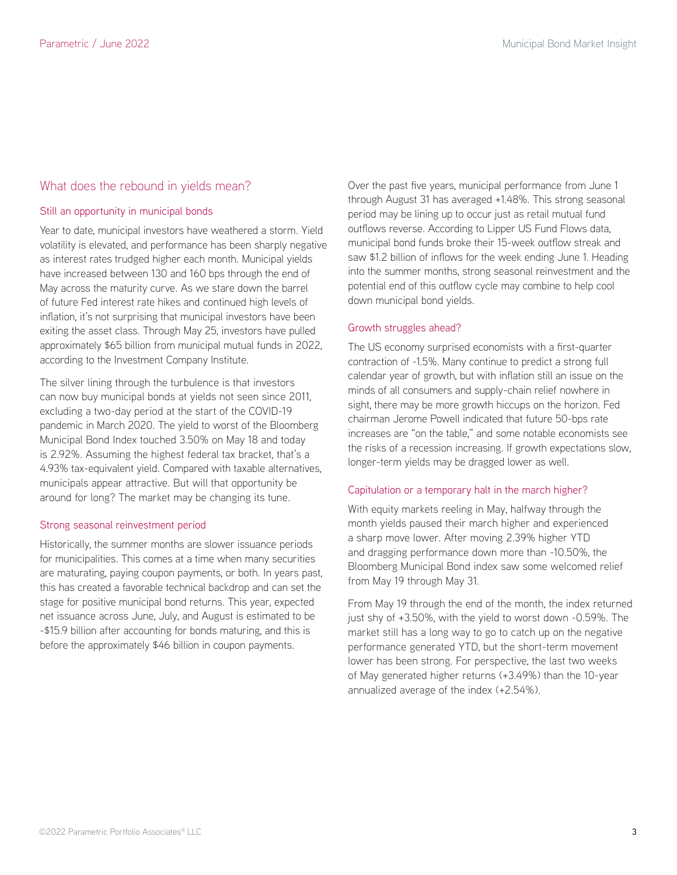## What does the rebound in yields mean?

#### Still an opportunity in municipal bonds

Year to date, municipal investors have weathered a storm. Yield volatility is elevated, and performance has been sharply negative as interest rates trudged higher each month. Municipal yields have increased between 130 and 160 bps through the end of May across the maturity curve. As we stare down the barrel of future Fed interest rate hikes and continued high levels of inflation, it's not surprising that municipal investors have been exiting the asset class. Through May 25, investors have pulled approximately \$65 billion from municipal mutual funds in 2022, according to the Investment Company Institute.

The silver lining through the turbulence is that investors can now buy municipal bonds at yields not seen since 2011, excluding a two-day period at the start of the COVID-19 pandemic in March 2020. The yield to worst of the Bloomberg Municipal Bond Index touched 3.50% on May 18 and today is 2.92%. Assuming the highest federal tax bracket, that's a 4.93% tax-equivalent yield. Compared with taxable alternatives, municipals appear attractive. But will that opportunity be around for long? The market may be changing its tune.

#### Strong seasonal reinvestment period

Historically, the summer months are slower issuance periods for municipalities. This comes at a time when many securities are maturating, paying coupon payments, or both. In years past, this has created a favorable technical backdrop and can set the stage for positive municipal bond returns. This year, expected net issuance across June, July, and August is estimated to be -\$15.9 billion after accounting for bonds maturing, and this is before the approximately \$46 billion in coupon payments.

Over the past five years, municipal performance from June 1 through August 31 has averaged +1.48%. This strong seasonal period may be lining up to occur just as retail mutual fund outflows reverse. According to Lipper US Fund Flows data, municipal bond funds broke their 15-week outflow streak and saw \$1.2 billion of inflows for the week ending June 1. Heading into the summer months, strong seasonal reinvestment and the potential end of this outflow cycle may combine to help cool down municipal bond yields.

#### Growth struggles ahead?

The US economy surprised economists with a first-quarter contraction of -1.5%. Many continue to predict a strong full calendar year of growth, but with inflation still an issue on the minds of all consumers and supply-chain relief nowhere in sight, there may be more growth hiccups on the horizon. Fed chairman Jerome Powell indicated that future 50-bps rate increases are "on the table," and some notable economists see the risks of a recession increasing. If growth expectations slow, longer-term yields may be dragged lower as well.

#### Capitulation or a temporary halt in the march higher?

With equity markets reeling in May, halfway through the month yields paused their march higher and experienced a sharp move lower. After moving 2.39% higher YTD and dragging performance down more than -10.50%, the Bloomberg Municipal Bond index saw some welcomed relief from May 19 through May 31.

From May 19 through the end of the month, the index returned just shy of +3.50%, with the yield to worst down -0.59%. The market still has a long way to go to catch up on the negative performance generated YTD, but the short-term movement lower has been strong. For perspective, the last two weeks of May generated higher returns (+3.49%) than the 10-year annualized average of the index (+2.54%).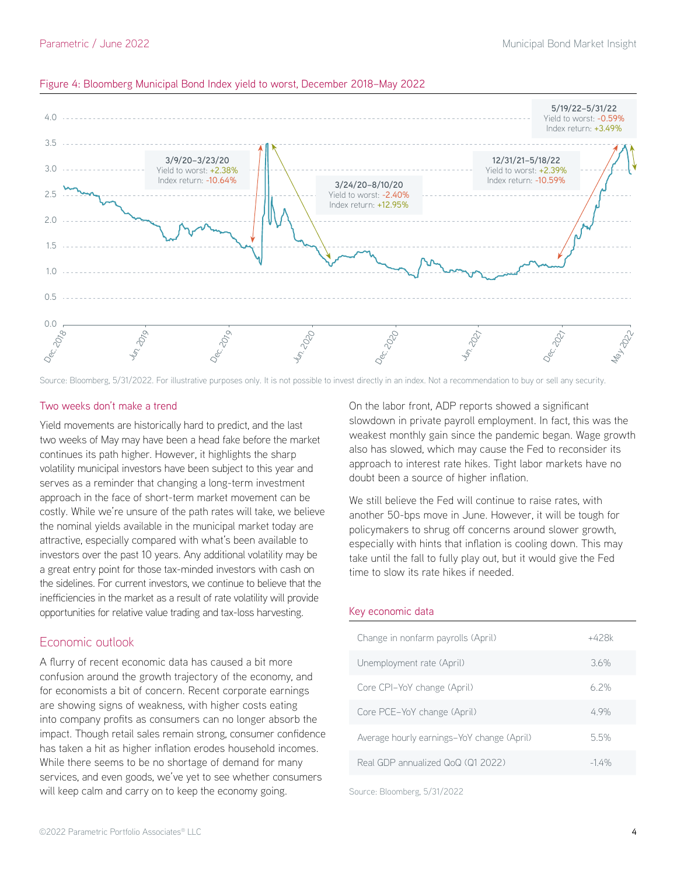

#### Figure 4: Bloomberg Municipal Bond Index yield to worst, December 2018–May 2022

Source: Bloomberg, 5/31/2022. For illustrative purposes only. It is not possible to invest directly in an index. Not a recommendation to buy or sell any security.

#### Two weeks don't make a trend

Yield movements are historically hard to predict, and the last two weeks of May may have been a head fake before the market continues its path higher. However, it highlights the sharp volatility municipal investors have been subject to this year and serves as a reminder that changing a long-term investment approach in the face of short-term market movement can be costly. While we're unsure of the path rates will take, we believe the nominal yields available in the municipal market today are attractive, especially compared with what's been available to investors over the past 10 years. Any additional volatility may be a great entry point for those tax-minded investors with cash on the sidelines. For current investors, we continue to believe that the inefficiencies in the market as a result of rate volatility will provide opportunities for relative value trading and tax-loss harvesting.

## Economic outlook

A flurry of recent economic data has caused a bit more confusion around the growth trajectory of the economy, and for economists a bit of concern. Recent corporate earnings are showing signs of weakness, with higher costs eating into company profits as consumers can no longer absorb the impact. Though retail sales remain strong, consumer confidence has taken a hit as higher inflation erodes household incomes. While there seems to be no shortage of demand for many services, and even goods, we've yet to see whether consumers will keep calm and carry on to keep the economy going.

On the labor front, ADP reports showed a significant slowdown in private payroll employment. In fact, this was the weakest monthly gain since the pandemic began. Wage growth also has slowed, which may cause the Fed to reconsider its approach to interest rate hikes. Tight labor markets have no doubt been a source of higher inflation.

We still believe the Fed will continue to raise rates, with another 50-bps move in June. However, it will be tough for policymakers to shrug off concerns around slower growth, especially with hints that inflation is cooling down. This may take until the fall to fully play out, but it would give the Fed time to slow its rate hikes if needed.

#### Key economic data

| Change in nonfarm payrolls (April)         | +428k  |
|--------------------------------------------|--------|
| Unemployment rate (April)                  | 36%    |
| Core CPI-YoY change (April)                | 62%    |
| Core PCE-YoY change (April)                | 49%    |
| Average hourly earnings-YoY change (April) | 5.5%   |
| Real GDP annualized QoQ (Q1 2022)          | $-14%$ |
|                                            |        |

Source: Bloomberg, 5/31/2022